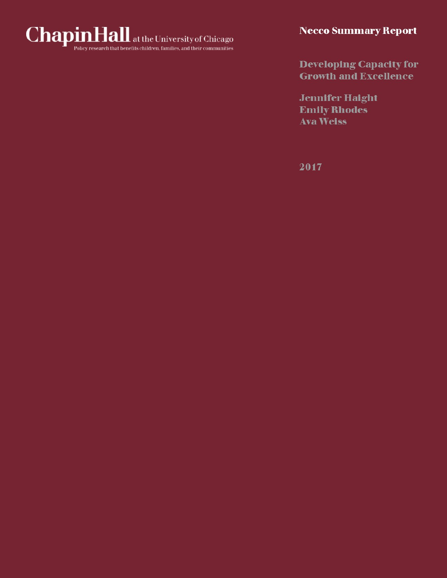

**Developing Capacity for Growth and Excellence** 

**Jennifer Haight Emily Rhodes Ava Weiss** 

2017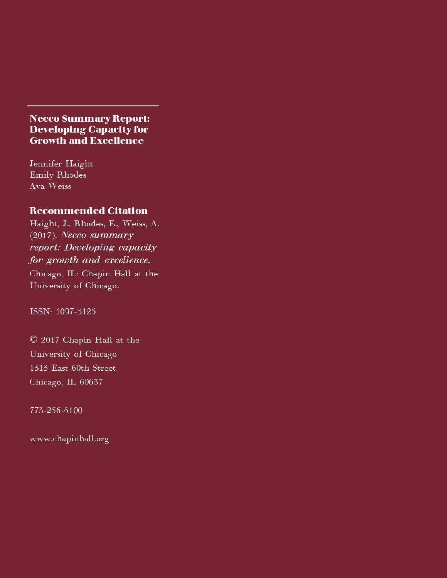# **Necco Summary Report: Developing Capacity for Growth and Excellence**

Jennifer Haight Emily Rhodes Ava Weiss

# **Recommended Citation**

Haight, J., Rhodes, E., Weiss, A.  $(2017)$ . Necco summary report: Developing capacity for growth and excellence.

Chicago, IL: Chapin Hall at the University of Chicago.

ISSN: 1097-3125

© 2017 Chapin Hall at the University of Chicago 1313 East 60th Street Chicago, IL 60637

773-256-5100

www.chapinhall.org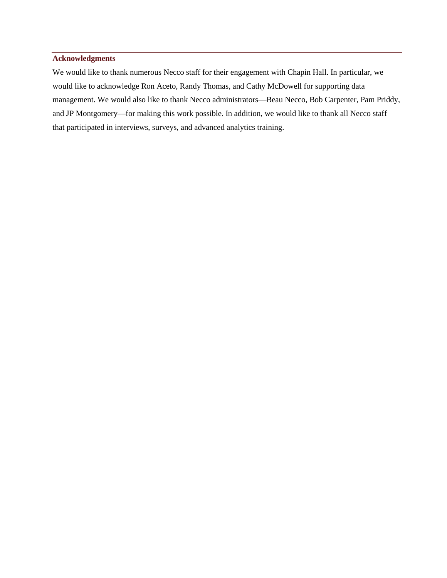### **Acknowledgments**

We would like to thank numerous Necco staff for their engagement with Chapin Hall. In particular, we would like to acknowledge Ron Aceto, Randy Thomas, and Cathy McDowell for supporting data management. We would also like to thank Necco administrators—Beau Necco, Bob Carpenter, Pam Priddy, and JP Montgomery—for making this work possible. In addition, we would like to thank all Necco staff that participated in interviews, surveys, and advanced analytics training.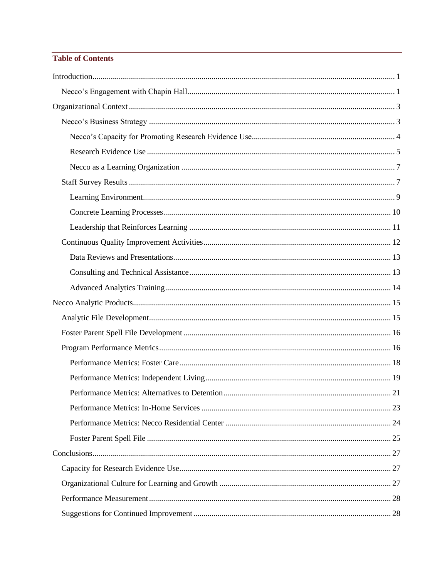## **Table of Contents**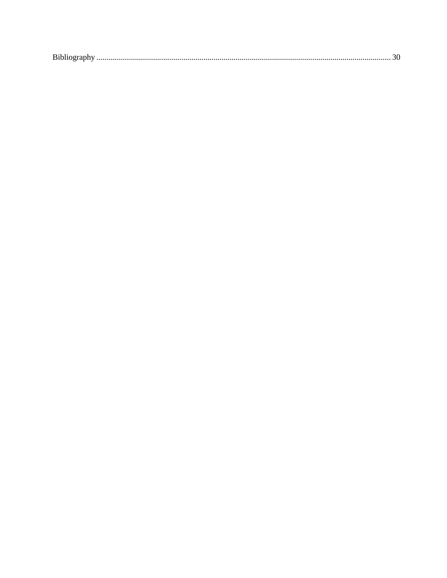| Bibliography |
|--------------|
|--------------|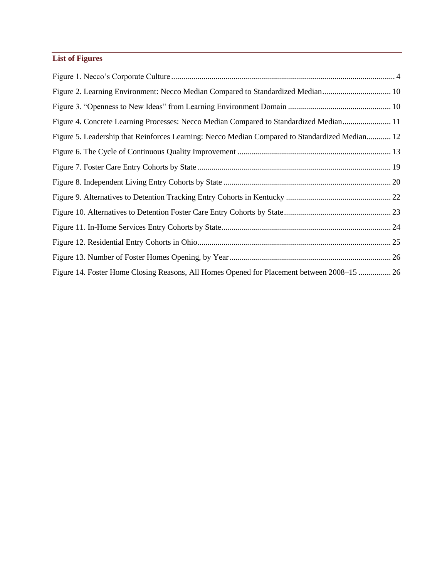# **List of Figures**

| Figure 2. Learning Environment: Necco Median Compared to Standardized Median 10                |  |
|------------------------------------------------------------------------------------------------|--|
|                                                                                                |  |
| Figure 4. Concrete Learning Processes: Necco Median Compared to Standardized Median 11         |  |
| Figure 5. Leadership that Reinforces Learning: Necco Median Compared to Standardized Median 12 |  |
|                                                                                                |  |
|                                                                                                |  |
|                                                                                                |  |
|                                                                                                |  |
|                                                                                                |  |
|                                                                                                |  |
|                                                                                                |  |
|                                                                                                |  |
| Figure 14. Foster Home Closing Reasons, All Homes Opened for Placement between 2008–15  26     |  |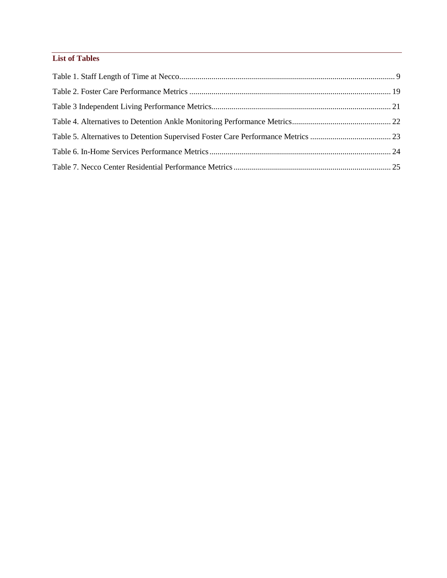## **List of Tables**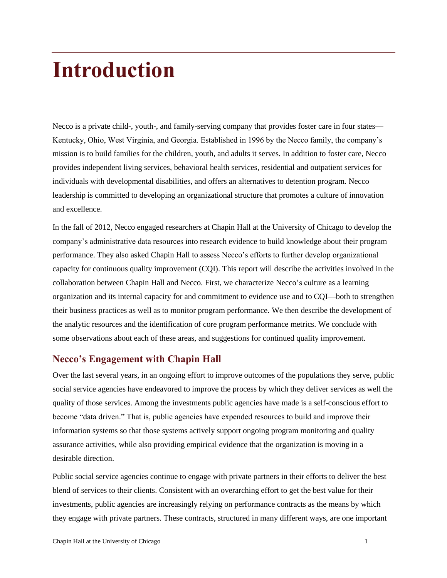# <span id="page-7-0"></span>**Introduction**

Necco is a private child-, youth-, and family-serving company that provides foster care in four states— Kentucky, Ohio, West Virginia, and Georgia. Established in 1996 by the Necco family, the company's mission is to build families for the children, youth, and adults it serves. In addition to foster care, Necco provides independent living services, behavioral health services, residential and outpatient services for individuals with developmental disabilities, and offers an alternatives to detention program. Necco leadership is committed to developing an organizational structure that promotes a culture of innovation and excellence.

In the fall of 2012, Necco engaged researchers at Chapin Hall at the University of Chicago to develop the company's administrative data resources into research evidence to build knowledge about their program performance. They also asked Chapin Hall to assess Necco's efforts to further develop organizational capacity for continuous quality improvement (CQI). This report will describe the activities involved in the collaboration between Chapin Hall and Necco. First, we characterize Necco's culture as a learning organization and its internal capacity for and commitment to evidence use and to CQI—both to strengthen their business practices as well as to monitor program performance. We then describe the development of the analytic resources and the identification of core program performance metrics. We conclude with some observations about each of these areas, and suggestions for continued quality improvement.

# <span id="page-7-1"></span>**Necco's Engagement with Chapin Hall**

Over the last several years, in an ongoing effort to improve outcomes of the populations they serve, public social service agencies have endeavored to improve the process by which they deliver services as well the quality of those services. Among the investments public agencies have made is a self-conscious effort to become "data driven." That is, public agencies have expended resources to build and improve their information systems so that those systems actively support ongoing program monitoring and quality assurance activities, while also providing empirical evidence that the organization is moving in a desirable direction.

Public social service agencies continue to engage with private partners in their efforts to deliver the best blend of services to their clients. Consistent with an overarching effort to get the best value for their investments, public agencies are increasingly relying on performance contracts as the means by which they engage with private partners. These contracts, structured in many different ways, are one important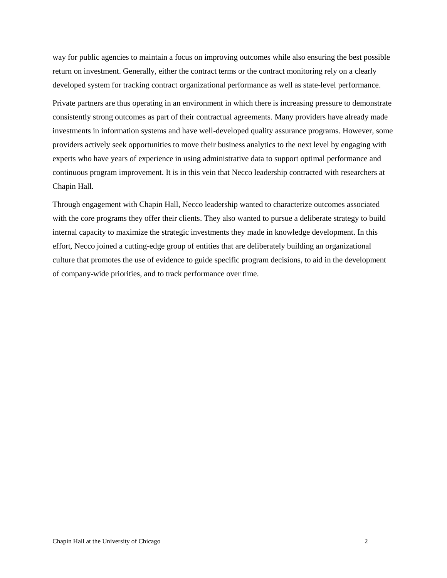way for public agencies to maintain a focus on improving outcomes while also ensuring the best possible return on investment. Generally, either the contract terms or the contract monitoring rely on a clearly developed system for tracking contract organizational performance as well as state-level performance.

Private partners are thus operating in an environment in which there is increasing pressure to demonstrate consistently strong outcomes as part of their contractual agreements. Many providers have already made investments in information systems and have well-developed quality assurance programs. However, some providers actively seek opportunities to move their business analytics to the next level by engaging with experts who have years of experience in using administrative data to support optimal performance and continuous program improvement. It is in this vein that Necco leadership contracted with researchers at Chapin Hall.

Through engagement with Chapin Hall, Necco leadership wanted to characterize outcomes associated with the core programs they offer their clients. They also wanted to pursue a deliberate strategy to build internal capacity to maximize the strategic investments they made in knowledge development. In this effort, Necco joined a cutting-edge group of entities that are deliberately building an organizational culture that promotes the use of evidence to guide specific program decisions, to aid in the development of company-wide priorities, and to track performance over time.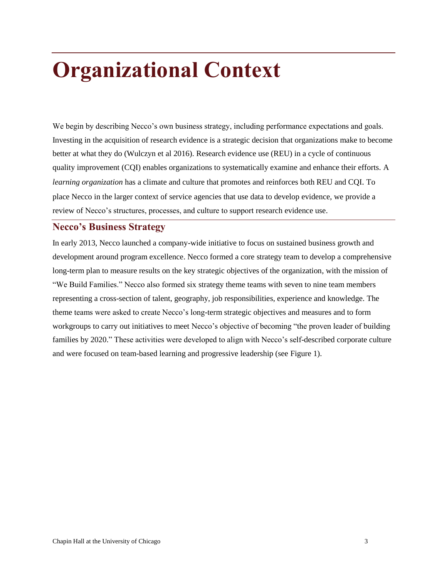# <span id="page-9-0"></span>**Organizational Context**

We begin by describing Necco's own business strategy, including performance expectations and goals. Investing in the acquisition of research evidence is a strategic decision that organizations make to become better at what they do (Wulczyn et al 2016). Research evidence use (REU) in a cycle of continuous quality improvement (CQI) enables organizations to systematically examine and enhance their efforts. A *learning organization* has a climate and culture that promotes and reinforces both REU and CQI. To place Necco in the larger context of service agencies that use data to develop evidence, we provide a review of Necco's structures, processes, and culture to support research evidence use.

## <span id="page-9-1"></span>**Necco's Business Strategy**

In early 2013, Necco launched a company-wide initiative to focus on sustained business growth and development around program excellence. Necco formed a core strategy team to develop a comprehensive long-term plan to measure results on the key strategic objectives of the organization, with the mission of "We Build Families." Necco also formed six strategy theme teams with seven to nine team members representing a cross-section of talent, geography, job responsibilities, experience and knowledge. The theme teams were asked to create Necco's long-term strategic objectives and measures and to form workgroups to carry out initiatives to meet Necco's objective of becoming "the proven leader of building families by 2020." These activities were developed to align with Necco's self-described corporate culture and were focused on team-based learning and progressive leadership (see Figure 1).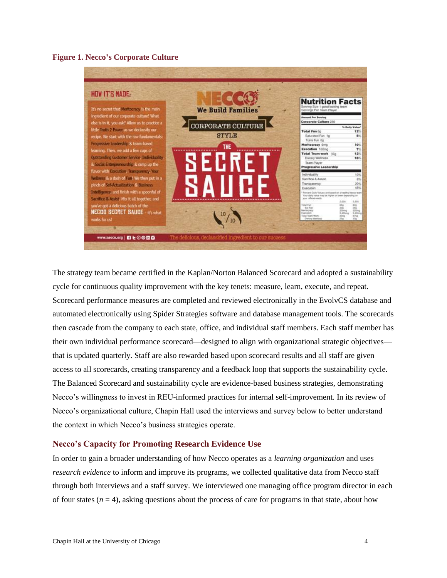### <span id="page-10-1"></span>**Figure 1. Necco's Corporate Culture**



The strategy team became certified in the Kaplan/Norton Balanced Scorecard and adopted a sustainability cycle for continuous quality improvement with the key tenets: measure, learn, execute, and repeat. Scorecard performance measures are completed and reviewed electronically in the EvolvCS database and automated electronically using Spider Strategies software and database management tools. The scorecards then cascade from the company to each state, office, and individual staff members. Each staff member has their own individual performance scorecard—designed to align with organizational strategic objectives that is updated quarterly. Staff are also rewarded based upon scorecard results and all staff are given access to all scorecards, creating transparency and a feedback loop that supports the sustainability cycle. The Balanced Scorecard and sustainability cycle are evidence-based business strategies, demonstrating Necco's willingness to invest in REU-informed practices for internal self-improvement. In its review of Necco's organizational culture, Chapin Hall used the interviews and survey below to better understand the context in which Necco's business strategies operate.

### <span id="page-10-0"></span>**Necco's Capacity for Promoting Research Evidence Use**

In order to gain a broader understanding of how Necco operates as a *learning organization* and uses *research evidence* to inform and improve its programs, we collected qualitative data from Necco staff through both interviews and a staff survey. We interviewed one managing office program director in each of four states  $(n = 4)$ , asking questions about the process of care for programs in that state, about how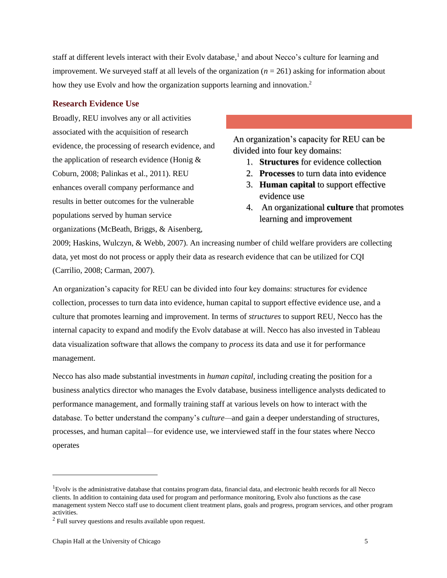staff at different levels interact with their Evolv database,<sup>1</sup> and about Necco's culture for learning and improvement. We surveyed staff at all levels of the organization  $(n = 261)$  asking for information about how they use Evolv and how the organization supports learning and innovation.<sup>2</sup>

## <span id="page-11-0"></span>**Research Evidence Use**

Broadly, REU involves any or all activities associated with the acquisition of research evidence, the processing of research evidence, and the application of research evidence (Honig & Coburn, 2008; Palinkas et al., 2011). REU enhances overall company performance and results in better outcomes for the vulnerable populations served by human service organizations (McBeath, Briggs, & Aisenberg,

An organization's capacity for REU can be divided into four key domains:

- 1. **Structures** for evidence collection
- 2. **Processes** to turn data into evidence
- 3. **Human capital** to support effective evidence use
- 4. An organizational **culture** that promotes learning and improvement

2009; Haskins, Wulczyn, & Webb, 2007). An increasing number of child welfare providers are collecting data, yet most do not process or apply their data as research evidence that can be utilized for CQI (Carrilio, 2008; Carman, 2007).

An organization's capacity for REU can be divided into four key domains: structures for evidence collection, processes to turn data into evidence, human capital to support effective evidence use, and a culture that promotes learning and improvement. In terms of *structures* to support REU, Necco has the internal capacity to expand and modify the Evolv database at will. Necco has also invested in Tableau data visualization software that allows the company to *process* its data and use it for performance management.

Necco has also made substantial investments in *human capital*, including creating the position for a business analytics director who manages the Evolv database, business intelligence analysts dedicated to performance management, and formally training staff at various levels on how to interact with the database. To better understand the company's *culture—*and gain a deeper understanding of structures, processes, and human capital*—*for evidence use, we interviewed staff in the four states where Necco operates

l

<sup>&</sup>lt;sup>1</sup>Evolv is the administrative database that contains program data, financial data, and electronic health records for all Necco clients. In addition to containing data used for program and performance monitoring, Evolv also functions as the case management system Necco staff use to document client treatment plans, goals and progress, program services, and other program activities.

 $2$  Full survey questions and results available upon request.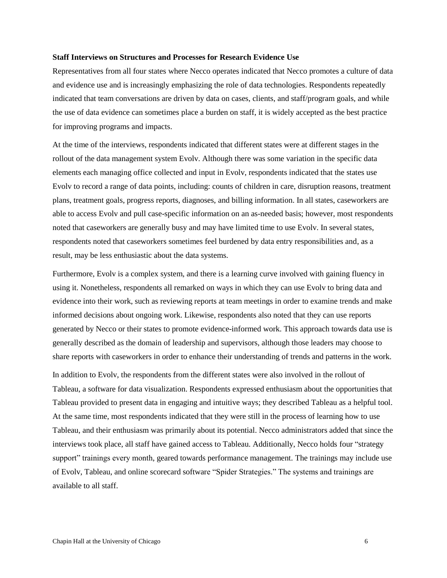#### **Staff Interviews on Structures and Processes for Research Evidence Use**

Representatives from all four states where Necco operates indicated that Necco promotes a culture of data and evidence use and is increasingly emphasizing the role of data technologies. Respondents repeatedly indicated that team conversations are driven by data on cases, clients, and staff/program goals, and while the use of data evidence can sometimes place a burden on staff, it is widely accepted as the best practice for improving programs and impacts.

At the time of the interviews, respondents indicated that different states were at different stages in the rollout of the data management system Evolv. Although there was some variation in the specific data elements each managing office collected and input in Evolv, respondents indicated that the states use Evolv to record a range of data points, including: counts of children in care, disruption reasons, treatment plans, treatment goals, progress reports, diagnoses, and billing information. In all states, caseworkers are able to access Evolv and pull case-specific information on an as-needed basis; however, most respondents noted that caseworkers are generally busy and may have limited time to use Evolv. In several states, respondents noted that caseworkers sometimes feel burdened by data entry responsibilities and, as a result, may be less enthusiastic about the data systems.

Furthermore, Evolv is a complex system, and there is a learning curve involved with gaining fluency in using it. Nonetheless, respondents all remarked on ways in which they can use Evolv to bring data and evidence into their work, such as reviewing reports at team meetings in order to examine trends and make informed decisions about ongoing work. Likewise, respondents also noted that they can use reports generated by Necco or their states to promote evidence-informed work. This approach towards data use is generally described as the domain of leadership and supervisors, although those leaders may choose to share reports with caseworkers in order to enhance their understanding of trends and patterns in the work.

In addition to Evolv, the respondents from the different states were also involved in the rollout of Tableau, a software for data visualization. Respondents expressed enthusiasm about the opportunities that Tableau provided to present data in engaging and intuitive ways; they described Tableau as a helpful tool. At the same time, most respondents indicated that they were still in the process of learning how to use Tableau, and their enthusiasm was primarily about its potential. Necco administrators added that since the interviews took place, all staff have gained access to Tableau. Additionally, Necco holds four "strategy support" trainings every month, geared towards performance management. The trainings may include use of Evolv, Tableau, and online scorecard software "Spider Strategies." The systems and trainings are available to all staff.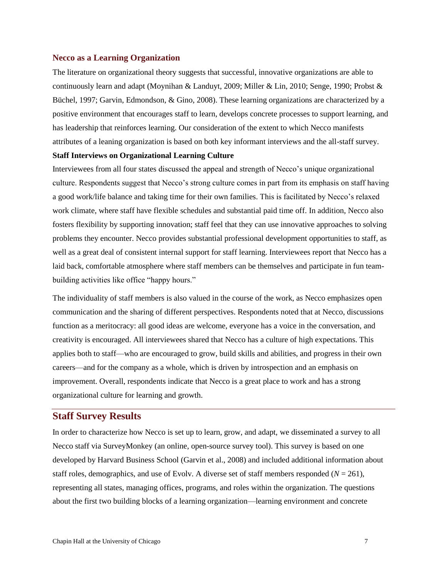### <span id="page-13-0"></span>**Necco as a Learning Organization**

The literature on organizational theory suggests that successful, innovative organizations are able to continuously learn and adapt (Moynihan & Landuyt, 2009; Miller & Lin, 2010; Senge, 1990; Probst & Büchel, 1997; Garvin, Edmondson, & Gino, 2008). These learning organizations are characterized by a positive environment that encourages staff to learn, develops concrete processes to support learning, and has leadership that reinforces learning. Our consideration of the extent to which Necco manifests attributes of a leaning organization is based on both key informant interviews and the all-staff survey.

### **Staff Interviews on Organizational Learning Culture**

Interviewees from all four states discussed the appeal and strength of Necco's unique organizational culture. Respondents suggest that Necco's strong culture comes in part from its emphasis on staff having a good work/life balance and taking time for their own families. This is facilitated by Necco's relaxed work climate, where staff have flexible schedules and substantial paid time off. In addition, Necco also fosters flexibility by supporting innovation; staff feel that they can use innovative approaches to solving problems they encounter. Necco provides substantial professional development opportunities to staff, as well as a great deal of consistent internal support for staff learning. Interviewees report that Necco has a laid back, comfortable atmosphere where staff members can be themselves and participate in fun teambuilding activities like office "happy hours."

The individuality of staff members is also valued in the course of the work, as Necco emphasizes open communication and the sharing of different perspectives. Respondents noted that at Necco, discussions function as a meritocracy: all good ideas are welcome, everyone has a voice in the conversation, and creativity is encouraged. All interviewees shared that Necco has a culture of high expectations. This applies both to staff—who are encouraged to grow, build skills and abilities, and progress in their own careers—and for the company as a whole, which is driven by introspection and an emphasis on improvement. Overall, respondents indicate that Necco is a great place to work and has a strong organizational culture for learning and growth.

## <span id="page-13-1"></span>**Staff Survey Results**

In order to characterize how Necco is set up to learn, grow, and adapt, we disseminated a survey to all Necco staff via SurveyMonkey (an online, open-source survey tool). This survey is based on one developed by Harvard Business School (Garvin et al., 2008) and included additional information about staff roles, demographics, and use of Evolv. A diverse set of staff members responded  $(N = 261)$ , representing all states, managing offices, programs, and roles within the organization. The questions about the first two building blocks of a learning organization—learning environment and concrete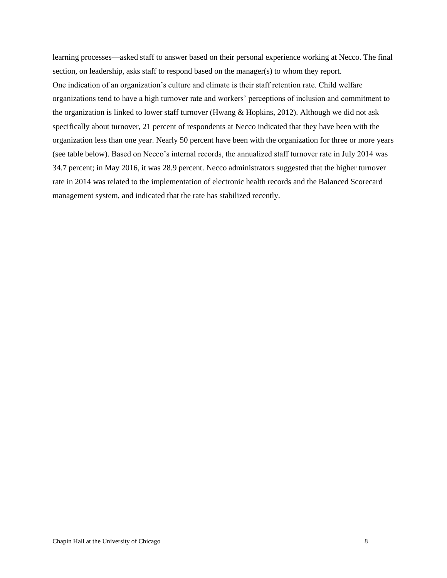learning processes—asked staff to answer based on their personal experience working at Necco. The final section, on leadership, asks staff to respond based on the manager(s) to whom they report. One indication of an organization's culture and climate is their staff retention rate. Child welfare organizations tend to have a high turnover rate and workers' perceptions of inclusion and commitment to the organization is linked to lower staff turnover (Hwang & Hopkins, 2012). Although we did not ask specifically about turnover, 21 percent of respondents at Necco indicated that they have been with the organization less than one year. Nearly 50 percent have been with the organization for three or more years (see table below). Based on Necco's internal records, the annualized staff turnover rate in July 2014 was 34.7 percent; in May 2016, it was 28.9 percent. Necco administrators suggested that the higher turnover rate in 2014 was related to the implementation of electronic health records and the Balanced Scorecard management system, and indicated that the rate has stabilized recently.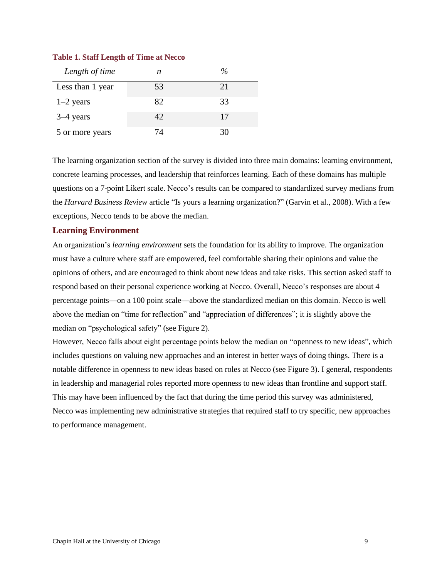<span id="page-15-1"></span>

| <b>Table 1. Staff Length of Time at Necco</b> |  |
|-----------------------------------------------|--|
|-----------------------------------------------|--|

| Length of time   | n  | %  |
|------------------|----|----|
| Less than 1 year | 53 | 21 |
| $1-2$ years      | 82 | 33 |
| $3-4$ years      | 42 | 17 |
| 5 or more years  | 74 | 30 |

The learning organization section of the survey is divided into three main domains: learning environment, concrete learning processes, and leadership that reinforces learning. Each of these domains has multiple questions on a 7-point Likert scale. Necco's results can be compared to standardized survey medians from the *Harvard Business Review* article "Is yours a learning organization?" (Garvin et al., 2008). With a few exceptions, Necco tends to be above the median.

## <span id="page-15-0"></span>**Learning Environment**

An organization's *learning environment* sets the foundation for its ability to improve. The organization must have a culture where staff are empowered, feel comfortable sharing their opinions and value the opinions of others, and are encouraged to think about new ideas and take risks. This section asked staff to respond based on their personal experience working at Necco. Overall, Necco's responses are about 4 percentage points—on a 100 point scale—above the standardized median on this domain. Necco is well above the median on "time for reflection" and "appreciation of differences"; it is slightly above the median on "psychological safety" (see Figure 2).

However, Necco falls about eight percentage points below the median on "openness to new ideas", which includes questions on valuing new approaches and an interest in better ways of doing things. There is a notable difference in openness to new ideas based on roles at Necco (see Figure 3). I general, respondents in leadership and managerial roles reported more openness to new ideas than frontline and support staff. This may have been influenced by the fact that during the time period this survey was administered, Necco was implementing new administrative strategies that required staff to try specific, new approaches to performance management.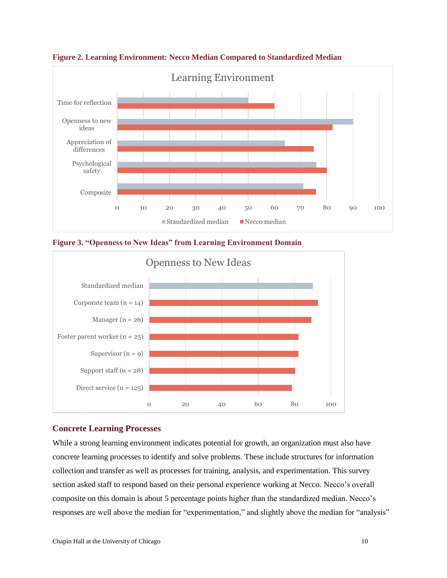

<span id="page-16-1"></span>**Figure 2. Learning Environment: Necco Median Compared to Standardized Median**

<span id="page-16-2"></span>**Figure 3. "Openness to New Ideas" from Learning Environment Domain**



## <span id="page-16-0"></span>**Concrete Learning Processes**

While a strong learning environment indicates potential for growth, an organization must also have concrete learning processes to identify and solve problems. These include structures for information collection and transfer as well as processes for training, analysis, and experimentation. This survey section asked staff to respond based on their personal experience working at Necco. Necco's overall composite on this domain is about 5 percentage points higher than the standardized median. Necco's responses are well above the median for "experimentation," and slightly above the median for "analysis"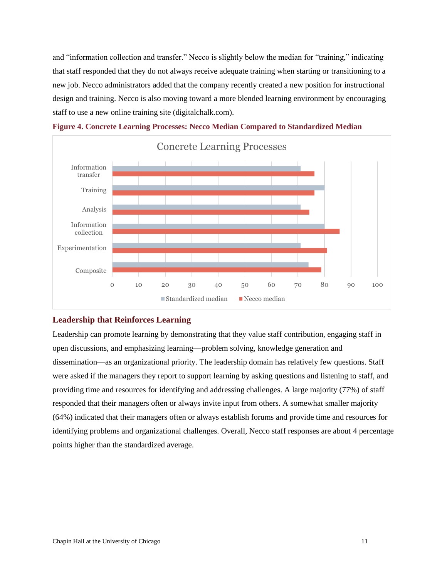and "information collection and transfer." Necco is slightly below the median for "training," indicating that staff responded that they do not always receive adequate training when starting or transitioning to a new job. Necco administrators added that the company recently created a new position for instructional design and training. Necco is also moving toward a more blended learning environment by encouraging staff to use a new online training site (digitalchalk.com).

<span id="page-17-1"></span>



## <span id="page-17-0"></span>**Leadership that Reinforces Learning**

Leadership can promote learning by demonstrating that they value staff contribution, engaging staff in open discussions, and emphasizing learning—problem solving, knowledge generation and dissemination—as an organizational priority. The leadership domain has relatively few questions. Staff were asked if the managers they report to support learning by asking questions and listening to staff, and providing time and resources for identifying and addressing challenges. A large majority (77%) of staff responded that their managers often or always invite input from others. A somewhat smaller majority (64%) indicated that their managers often or always establish forums and provide time and resources for identifying problems and organizational challenges. Overall, Necco staff responses are about 4 percentage points higher than the standardized average.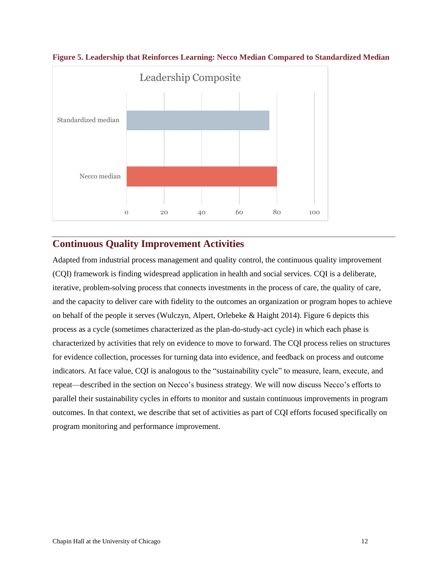

<span id="page-18-1"></span>**Figure 5. Leadership that Reinforces Learning: Necco Median Compared to Standardized Median**

# <span id="page-18-0"></span>**Continuous Quality Improvement Activities**

Adapted from industrial process management and quality control, the continuous quality improvement (CQI) framework is finding widespread application in health and social services. CQI is a deliberate, iterative, problem-solving process that connects investments in the process of care, the quality of care, and the capacity to deliver care with fidelity to the outcomes an organization or program hopes to achieve on behalf of the people it serves (Wulczyn, Alpert, Orlebeke & Haight 2014). Figure 6 depicts this process as a cycle (sometimes characterized as the plan-do-study-act cycle) in which each phase is characterized by activities that rely on evidence to move to forward. The CQI process relies on structures for evidence collection, processes for turning data into evidence, and feedback on process and outcome indicators. At face value, CQI is analogous to the "sustainability cycle" to measure, learn, execute, and repeat—described in the section on Necco's business strategy. We will now discuss Necco's efforts to parallel their sustainability cycles in efforts to monitor and sustain continuous improvements in program outcomes. In that context, we describe that set of activities as part of CQI efforts focused specifically on program monitoring and performance improvement.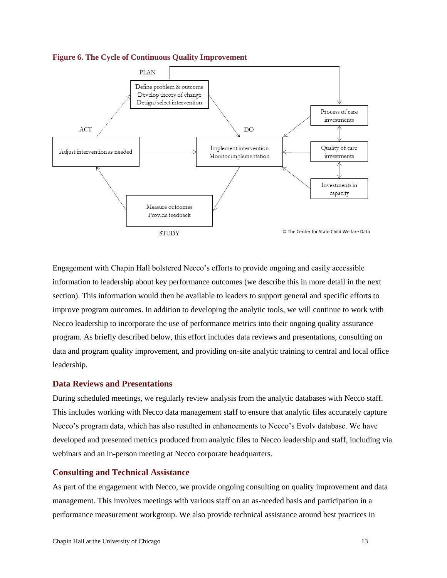<span id="page-19-2"></span>



Engagement with Chapin Hall bolstered Necco's efforts to provide ongoing and easily accessible information to leadership about key performance outcomes (we describe this in more detail in the next section). This information would then be available to leaders to support general and specific efforts to improve program outcomes. In addition to developing the analytic tools, we will continue to work with Necco leadership to incorporate the use of performance metrics into their ongoing quality assurance program. As briefly described below, this effort includes data reviews and presentations, consulting on data and program quality improvement, and providing on-site analytic training to central and local office leadership.

### <span id="page-19-0"></span>**Data Reviews and Presentations**

During scheduled meetings, we regularly review analysis from the analytic databases with Necco staff. This includes working with Necco data management staff to ensure that analytic files accurately capture Necco's program data, which has also resulted in enhancements to Necco's Evolv database. We have developed and presented metrics produced from analytic files to Necco leadership and staff, including via webinars and an in-person meeting at Necco corporate headquarters.

### <span id="page-19-1"></span>**Consulting and Technical Assistance**

As part of the engagement with Necco, we provide ongoing consulting on quality improvement and data management. This involves meetings with various staff on an as-needed basis and participation in a performance measurement workgroup. We also provide technical assistance around best practices in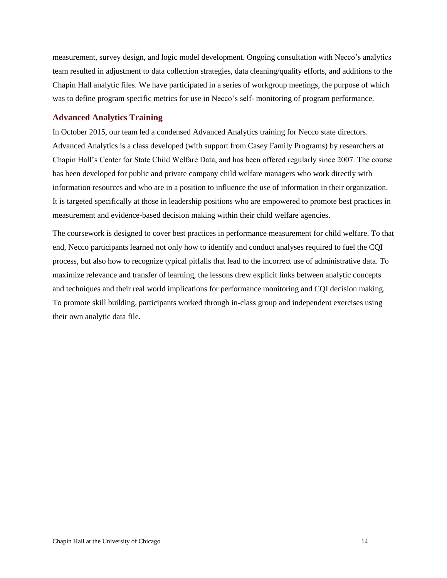measurement, survey design, and logic model development. Ongoing consultation with Necco's analytics team resulted in adjustment to data collection strategies, data cleaning/quality efforts, and additions to the Chapin Hall analytic files. We have participated in a series of workgroup meetings, the purpose of which was to define program specific metrics for use in Necco's self- monitoring of program performance.

### <span id="page-20-0"></span>**Advanced Analytics Training**

In October 2015, our team led a condensed Advanced Analytics training for Necco state directors. Advanced Analytics is a class developed (with support from Casey Family Programs) by researchers at Chapin Hall's Center for State Child Welfare Data, and has been offered regularly since 2007. The course has been developed for public and private company child welfare managers who work directly with information resources and who are in a position to influence the use of information in their organization. It is targeted specifically at those in leadership positions who are empowered to promote best practices in measurement and evidence-based decision making within their child welfare agencies.

The coursework is designed to cover best practices in performance measurement for child welfare. To that end, Necco participants learned not only how to identify and conduct analyses required to fuel the CQI process, but also how to recognize typical pitfalls that lead to the incorrect use of administrative data. To maximize relevance and transfer of learning, the lessons drew explicit links between analytic concepts and techniques and their real world implications for performance monitoring and CQI decision making. To promote skill building, participants worked through in-class group and independent exercises using their own analytic data file.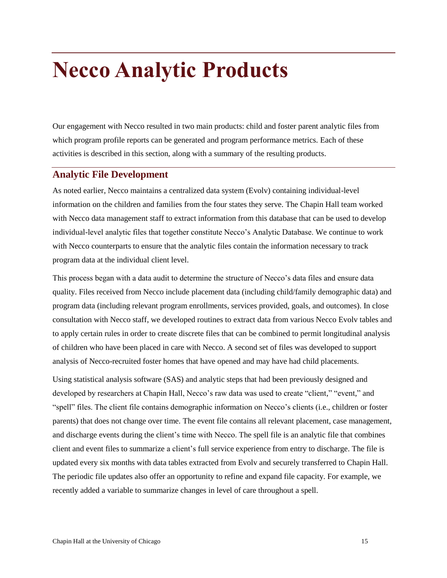# <span id="page-21-0"></span>**Necco Analytic Products**

Our engagement with Necco resulted in two main products: child and foster parent analytic files from which program profile reports can be generated and program performance metrics. Each of these activities is described in this section, along with a summary of the resulting products.

# <span id="page-21-1"></span>**Analytic File Development**

As noted earlier, Necco maintains a centralized data system (Evolv) containing individual-level information on the children and families from the four states they serve. The Chapin Hall team worked with Necco data management staff to extract information from this database that can be used to develop individual-level analytic files that together constitute Necco's Analytic Database. We continue to work with Necco counterparts to ensure that the analytic files contain the information necessary to track program data at the individual client level.

This process began with a data audit to determine the structure of Necco's data files and ensure data quality. Files received from Necco include placement data (including child/family demographic data) and program data (including relevant program enrollments, services provided, goals, and outcomes). In close consultation with Necco staff, we developed routines to extract data from various Necco Evolv tables and to apply certain rules in order to create discrete files that can be combined to permit longitudinal analysis of children who have been placed in care with Necco. A second set of files was developed to support analysis of Necco-recruited foster homes that have opened and may have had child placements.

Using statistical analysis software (SAS) and analytic steps that had been previously designed and developed by researchers at Chapin Hall, Necco's raw data was used to create "client," "event," and "spell" files. The client file contains demographic information on Necco's clients (i.e., children or foster parents) that does not change over time. The event file contains all relevant placement, case management, and discharge events during the client's time with Necco. The spell file is an analytic file that combines client and event files to summarize a client's full service experience from entry to discharge. The file is updated every six months with data tables extracted from Evolv and securely transferred to Chapin Hall. The periodic file updates also offer an opportunity to refine and expand file capacity. For example, we recently added a variable to summarize changes in level of care throughout a spell.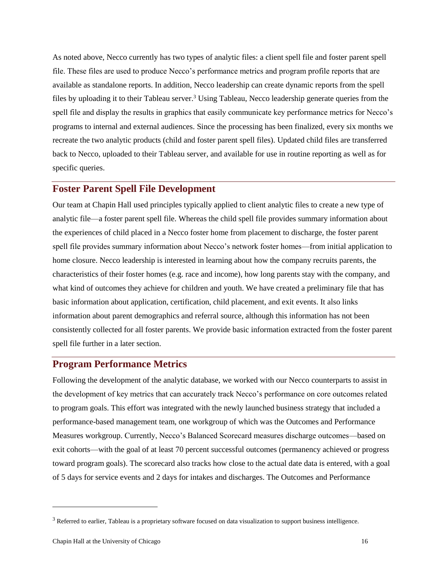As noted above, Necco currently has two types of analytic files: a client spell file and foster parent spell file. These files are used to produce Necco's performance metrics and program profile reports that are available as standalone reports. In addition, Necco leadership can create dynamic reports from the spell files by uploading it to their Tableau server.<sup>3</sup> Using Tableau, Necco leadership generate queries from the spell file and display the results in graphics that easily communicate key performance metrics for Necco's programs to internal and external audiences. Since the processing has been finalized, every six months we recreate the two analytic products (child and foster parent spell files). Updated child files are transferred back to Necco, uploaded to their Tableau server, and available for use in routine reporting as well as for specific queries.

# <span id="page-22-0"></span>**Foster Parent Spell File Development**

Our team at Chapin Hall used principles typically applied to client analytic files to create a new type of analytic file—a foster parent spell file. Whereas the child spell file provides summary information about the experiences of child placed in a Necco foster home from placement to discharge, the foster parent spell file provides summary information about Necco's network foster homes—from initial application to home closure. Necco leadership is interested in learning about how the company recruits parents, the characteristics of their foster homes (e.g. race and income), how long parents stay with the company, and what kind of outcomes they achieve for children and youth. We have created a preliminary file that has basic information about application, certification, child placement, and exit events. It also links information about parent demographics and referral source, although this information has not been consistently collected for all foster parents. We provide basic information extracted from the foster parent spell file further in a later section.

## <span id="page-22-1"></span>**Program Performance Metrics**

Following the development of the analytic database, we worked with our Necco counterparts to assist in the development of key metrics that can accurately track Necco's performance on core outcomes related to program goals. This effort was integrated with the newly launched business strategy that included a performance-based management team, one workgroup of which was the Outcomes and Performance Measures workgroup. Currently, Necco's Balanced Scorecard measures discharge outcomes—based on exit cohorts—with the goal of at least 70 percent successful outcomes (permanency achieved or progress toward program goals). The scorecard also tracks how close to the actual date data is entered, with a goal of 5 days for service events and 2 days for intakes and discharges. The Outcomes and Performance

 $\overline{a}$ 

<sup>&</sup>lt;sup>3</sup> Referred to earlier, Tableau is a proprietary software focused on data visualization to support business intelligence.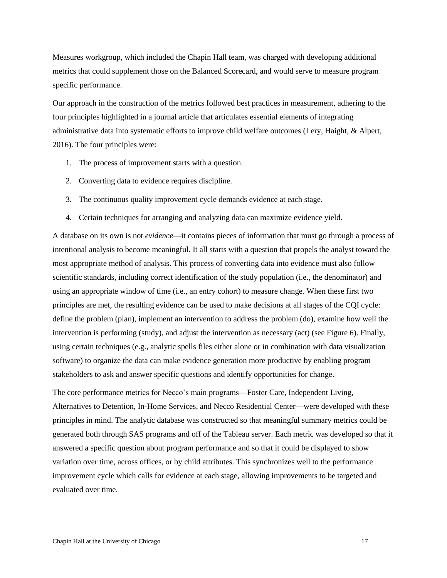Measures workgroup, which included the Chapin Hall team, was charged with developing additional metrics that could supplement those on the Balanced Scorecard, and would serve to measure program specific performance.

Our approach in the construction of the metrics followed best practices in measurement, adhering to the four principles highlighted in a journal article that articulates essential elements of integrating administrative data into systematic efforts to improve child welfare outcomes (Lery, Haight, & Alpert, 2016). The four principles were:

- 1. The process of improvement starts with a question.
- 2. Converting data to evidence requires discipline.
- 3. The continuous quality improvement cycle demands evidence at each stage.
- 4. Certain techniques for arranging and analyzing data can maximize evidence yield.

A database on its own is not *evidence*—it contains pieces of information that must go through a process of intentional analysis to become meaningful. It all starts with a question that propels the analyst toward the most appropriate method of analysis. This process of converting data into evidence must also follow scientific standards, including correct identification of the study population (i.e., the denominator) and using an appropriate window of time (i.e., an entry cohort) to measure change. When these first two principles are met, the resulting evidence can be used to make decisions at all stages of the CQI cycle: define the problem (plan), implement an intervention to address the problem (do), examine how well the intervention is performing (study), and adjust the intervention as necessary (act) (see Figure 6). Finally, using certain techniques (e.g., analytic spells files either alone or in combination with data visualization software) to organize the data can make evidence generation more productive by enabling program stakeholders to ask and answer specific questions and identify opportunities for change.

The core performance metrics for Necco's main programs—Foster Care, Independent Living, Alternatives to Detention, In-Home Services, and Necco Residential Center—were developed with these principles in mind. The analytic database was constructed so that meaningful summary metrics could be generated both through SAS programs and off of the Tableau server. Each metric was developed so that it answered a specific question about program performance and so that it could be displayed to show variation over time, across offices, or by child attributes. This synchronizes well to the performance improvement cycle which calls for evidence at each stage, allowing improvements to be targeted and evaluated over time.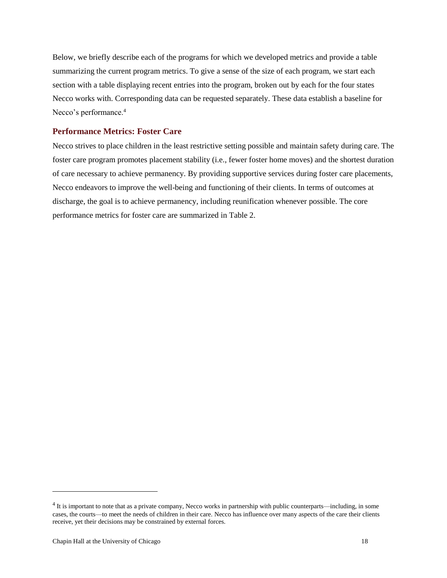Below, we briefly describe each of the programs for which we developed metrics and provide a table summarizing the current program metrics. To give a sense of the size of each program, we start each section with a table displaying recent entries into the program, broken out by each for the four states Necco works with. Corresponding data can be requested separately. These data establish a baseline for Necco's performance.<sup>4</sup>

## <span id="page-24-0"></span>**Performance Metrics: Foster Care**

Necco strives to place children in the least restrictive setting possible and maintain safety during care. The foster care program promotes placement stability (i.e., fewer foster home moves) and the shortest duration of care necessary to achieve permanency. By providing supportive services during foster care placements, Necco endeavors to improve the well-being and functioning of their clients. In terms of outcomes at discharge, the goal is to achieve permanency, including reunification whenever possible. The core performance metrics for foster care are summarized in Table 2.

 $\overline{a}$ 

 $4$  It is important to note that as a private company, Necco works in partnership with public counterparts—including, in some cases, the courts—to meet the needs of children in their care. Necco has influence over many aspects of the care their clients receive, yet their decisions may be constrained by external forces.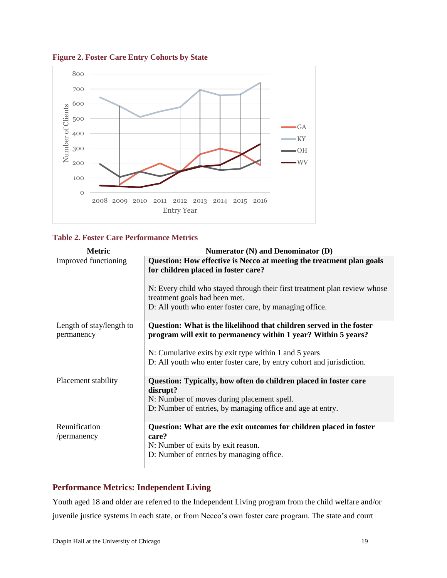

<span id="page-25-1"></span>**Figure 2. Foster Care Entry Cohorts by State**

## <span id="page-25-2"></span>**Table 2. Foster Care Performance Metrics**

| <b>Metric</b>                          | Numerator (N) and Denominator (D)                                                                                                                             |
|----------------------------------------|---------------------------------------------------------------------------------------------------------------------------------------------------------------|
| Improved functioning                   | Question: How effective is Necco at meeting the treatment plan goals<br>for children placed in foster care?                                                   |
|                                        | N: Every child who stayed through their first treatment plan review whose<br>treatment goals had been met.                                                    |
|                                        | D: All youth who enter foster care, by managing office.                                                                                                       |
| Length of stay/length to<br>permanency | Question: What is the likelihood that children served in the foster<br>program will exit to permanency within 1 year? Within 5 years?                         |
|                                        | N: Cumulative exits by exit type within 1 and 5 years<br>D: All youth who enter foster care, by entry cohort and jurisdiction.                                |
|                                        |                                                                                                                                                               |
| Placement stability                    | Question: Typically, how often do children placed in foster care<br>disrupt?<br>N: Number of moves during placement spell.                                    |
|                                        | D: Number of entries, by managing office and age at entry.                                                                                                    |
| Reunification<br>/permanency           | Question: What are the exit outcomes for children placed in foster<br>care?<br>N: Number of exits by exit reason.<br>D: Number of entries by managing office. |

## <span id="page-25-0"></span>**Performance Metrics: Independent Living**

Youth aged 18 and older are referred to the Independent Living program from the child welfare and/or juvenile justice systems in each state, or from Necco's own foster care program. The state and court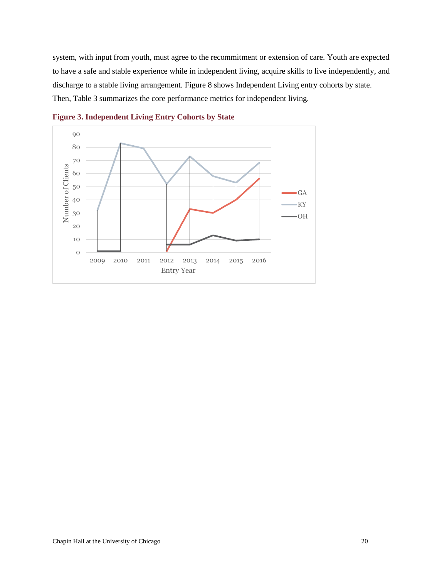system, with input from youth, must agree to the recommitment or extension of care. Youth are expected to have a safe and stable experience while in independent living, acquire skills to live independently, and discharge to a stable living arrangement. Figure 8 shows Independent Living entry cohorts by state. Then, Table 3 summarizes the core performance metrics for independent living.



<span id="page-26-0"></span>**Figure 3. Independent Living Entry Cohorts by State**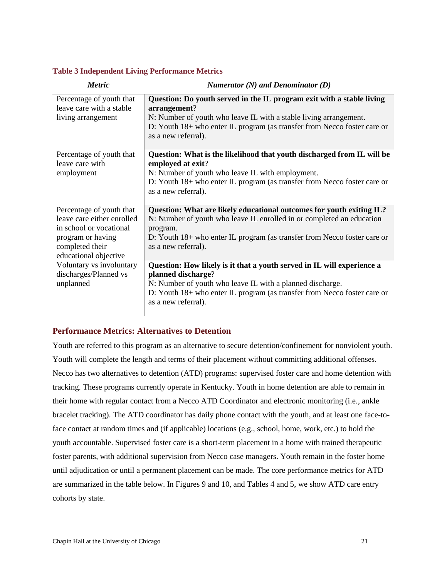#### <span id="page-27-1"></span>**Table 3 Independent Living Performance Metrics**

| <b>Metric</b>                                                                                                                                      | Numerator $(N)$ and Denominator $(D)$                                                                                                                                                                                                                         |
|----------------------------------------------------------------------------------------------------------------------------------------------------|---------------------------------------------------------------------------------------------------------------------------------------------------------------------------------------------------------------------------------------------------------------|
| Percentage of youth that<br>leave care with a stable<br>living arrangement                                                                         | Question: Do youth served in the IL program exit with a stable living<br>arrangement?<br>N: Number of youth who leave IL with a stable living arrangement.<br>D: Youth 18+ who enter IL program (as transfer from Necco foster care or<br>as a new referral). |
| Percentage of youth that<br>leave care with<br>employment                                                                                          | Question: What is the likelihood that youth discharged from IL will be<br>employed at exit?<br>N: Number of youth who leave IL with employment.<br>D: Youth 18+ who enter IL program (as transfer from Necco foster care or<br>as a new referral).            |
| Percentage of youth that<br>leave care either enrolled<br>in school or vocational<br>program or having<br>completed their<br>educational objective | Question: What are likely educational outcomes for youth exiting IL?<br>N: Number of youth who leave IL enrolled in or completed an education<br>program.<br>D: Youth 18+ who enter IL program (as transfer from Necco foster care or<br>as a new referral).  |
| Voluntary vs involuntary<br>discharges/Planned vs<br>unplanned                                                                                     | Question: How likely is it that a youth served in IL will experience a<br>planned discharge?<br>N: Number of youth who leave IL with a planned discharge.<br>D: Youth 18+ who enter IL program (as transfer from Necco foster care or<br>as a new referral).  |

## <span id="page-27-0"></span>**Performance Metrics: Alternatives to Detention**

Youth are referred to this program as an alternative to secure detention/confinement for nonviolent youth. Youth will complete the length and terms of their placement without committing additional offenses. Necco has two alternatives to detention (ATD) programs: supervised foster care and home detention with tracking. These programs currently operate in Kentucky. Youth in home detention are able to remain in their home with regular contact from a Necco ATD Coordinator and electronic monitoring (i.e., ankle bracelet tracking). The ATD coordinator has daily phone contact with the youth, and at least one face-toface contact at random times and (if applicable) locations (e.g., school, home, work, etc.) to hold the youth accountable. Supervised foster care is a short-term placement in a home with trained therapeutic foster parents, with additional supervision from Necco case managers. Youth remain in the foster home until adjudication or until a permanent placement can be made. The core performance metrics for ATD are summarized in the table below. In Figures 9 and 10, and Tables 4 and 5, we show ATD care entry cohorts by state.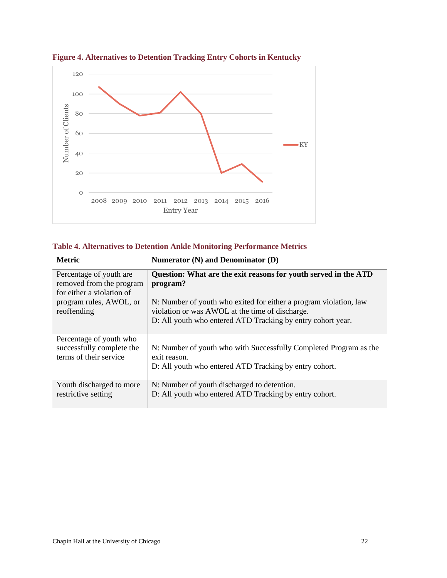

<span id="page-28-0"></span>**Figure 4. Alternatives to Detention Tracking Entry Cohorts in Kentucky**

<span id="page-28-1"></span>

| <b>Table 4. Alternatives to Detention Ankle Monitoring Performance Metrics</b> |  |  |  |
|--------------------------------------------------------------------------------|--|--|--|

| <b>Metric</b>                                                                    | Numerator $(N)$ and Denominator $(D)$                                                                                                                                               |
|----------------------------------------------------------------------------------|-------------------------------------------------------------------------------------------------------------------------------------------------------------------------------------|
| Percentage of youth are<br>removed from the program<br>for either a violation of | Question: What are the exit reasons for youth served in the ATD<br>program?                                                                                                         |
| program rules, AWOL, or<br>reoffending                                           | N: Number of youth who exited for either a program violation, law<br>violation or was AWOL at the time of discharge.<br>D: All youth who entered ATD Tracking by entry cohort year. |
| Percentage of youth who<br>successfully complete the<br>terms of their service   | N: Number of youth who with Successfully Completed Program as the<br>exit reason.<br>D: All youth who entered ATD Tracking by entry cohort.                                         |
| Youth discharged to more<br>restrictive setting                                  | N: Number of youth discharged to detention.<br>D: All youth who entered ATD Tracking by entry cohort.                                                                               |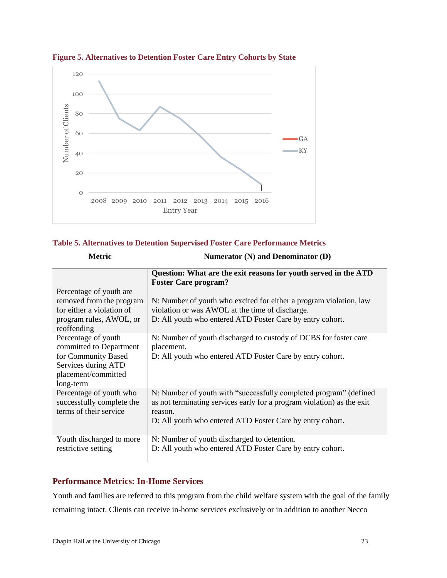

<span id="page-29-1"></span>**Figure 5. Alternatives to Detention Foster Care Entry Cohorts by State**

## <span id="page-29-2"></span>**Table 5. Alternatives to Detention Supervised Foster Care Performance Metrics**

| <b>Metric</b><br>Numerator $(N)$ and Denominator $(D)$                                                                           |                                                                                                                                                                                                                     |
|----------------------------------------------------------------------------------------------------------------------------------|---------------------------------------------------------------------------------------------------------------------------------------------------------------------------------------------------------------------|
|                                                                                                                                  | Question: What are the exit reasons for youth served in the ATD<br><b>Foster Care program?</b>                                                                                                                      |
| Percentage of youth are<br>removed from the program<br>for either a violation of<br>program rules, AWOL, or<br>reoffending       | N: Number of youth who excited for either a program violation, law<br>violation or was AWOL at the time of discharge.<br>D: All youth who entered ATD Foster Care by entry cohort.                                  |
| Percentage of youth<br>committed to Department<br>for Community Based<br>Services during ATD<br>placement/committed<br>long-term | N: Number of youth discharged to custody of DCBS for foster care<br>placement.<br>D: All youth who entered ATD Foster Care by entry cohort.                                                                         |
| Percentage of youth who<br>successfully complete the<br>terms of their service                                                   | N: Number of youth with "successfully completed program" (defined<br>as not terminating services early for a program violation) as the exit<br>reason.<br>D: All youth who entered ATD Foster Care by entry cohort. |
| Youth discharged to more<br>restrictive setting                                                                                  | N: Number of youth discharged to detention.<br>D: All youth who entered ATD Foster Care by entry cohort.                                                                                                            |

## <span id="page-29-0"></span>**Performance Metrics: In-Home Services**

Youth and families are referred to this program from the child welfare system with the goal of the family remaining intact. Clients can receive in-home services exclusively or in addition to another Necco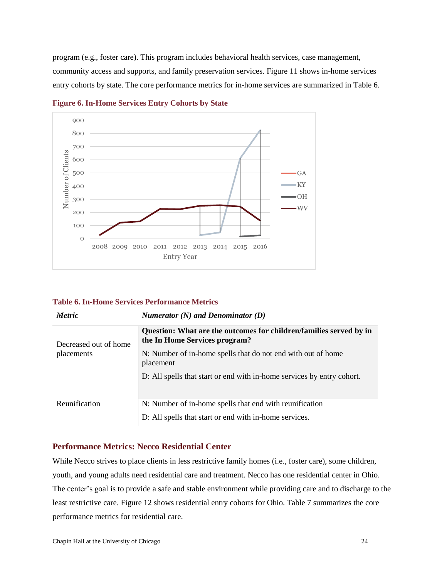program (e.g., foster care). This program includes behavioral health services, case management, community access and supports, and family preservation services. Figure 11 shows in-home services entry cohorts by state. The core performance metrics for in-home services are summarized in Table 6.



<span id="page-30-1"></span>**Figure 6. In-Home Services Entry Cohorts by State**

### <span id="page-30-2"></span>**Table 6. In-Home Services Performance Metrics**

| n |
|---|
|   |

*Metric Numerator (N) and Denominator (D)*

| Decreased out of home<br>placements | Question: What are the outcomes for children/families served by in<br>the In Home Services program?               |
|-------------------------------------|-------------------------------------------------------------------------------------------------------------------|
|                                     | N: Number of in-home spells that do not end with out of home<br>placement                                         |
|                                     | D: All spells that start or end with in-home services by entry cohort.                                            |
| Reunification                       | N: Number of in-home spells that end with reunification<br>D: All spells that start or end with in-home services. |

## <span id="page-30-0"></span>**Performance Metrics: Necco Residential Center**

While Necco strives to place clients in less restrictive family homes (i.e., foster care), some children, youth, and young adults need residential care and treatment. Necco has one residential center in Ohio. The center's goal is to provide a safe and stable environment while providing care and to discharge to the least restrictive care. Figure 12 shows residential entry cohorts for Ohio. Table 7 summarizes the core performance metrics for residential care.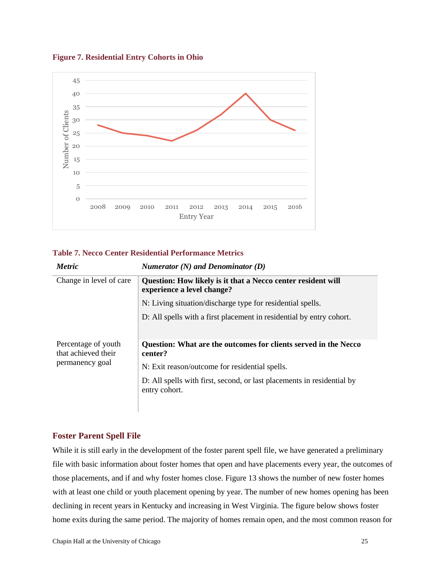

### <span id="page-31-1"></span>**Figure 7. Residential Entry Cohorts in Ohio**

### <span id="page-31-2"></span>**Table 7. Necco Center Residential Performance Metrics**

| <b>Metric</b>                                                 | Numerator $(N)$ and Denominator $(D)$                                                      |
|---------------------------------------------------------------|--------------------------------------------------------------------------------------------|
| Change in level of care                                       | Question: How likely is it that a Necco center resident will<br>experience a level change? |
|                                                               | N: Living situation/discharge type for residential spells.                                 |
|                                                               | D: All spells with a first placement in residential by entry cohort.                       |
| Percentage of youth<br>that achieved their<br>permanency goal | Question: What are the outcomes for clients served in the Necco<br>center?                 |
|                                                               | N: Exit reason/outcome for residential spells.                                             |
|                                                               | D: All spells with first, second, or last placements in residential by<br>entry cohort.    |
|                                                               |                                                                                            |

## <span id="page-31-0"></span>**Foster Parent Spell File**

While it is still early in the development of the foster parent spell file, we have generated a preliminary file with basic information about foster homes that open and have placements every year, the outcomes of those placements, and if and why foster homes close. Figure 13 shows the number of new foster homes with at least one child or youth placement opening by year. The number of new homes opening has been declining in recent years in Kentucky and increasing in West Virginia. The figure below shows foster home exits during the same period. The majority of homes remain open, and the most common reason for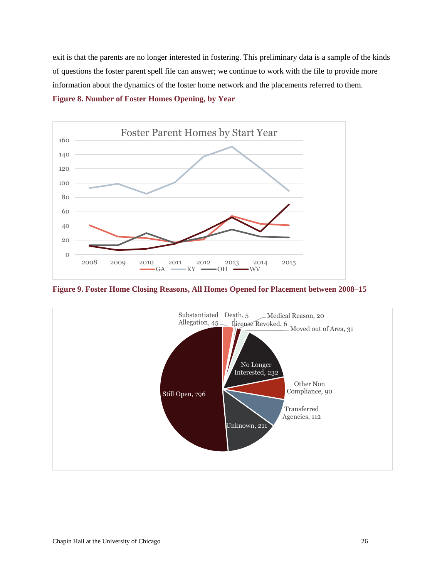exit is that the parents are no longer interested in fostering. This preliminary data is a sample of the kinds of questions the foster parent spell file can answer; we continue to work with the file to provide more information about the dynamics of the foster home network and the placements referred to them.

<span id="page-32-0"></span>**Figure 8. Number of Foster Homes Opening, by Year**



<span id="page-32-1"></span>**Figure 9. Foster Home Closing Reasons, All Homes Opened for Placement between 2008–15**

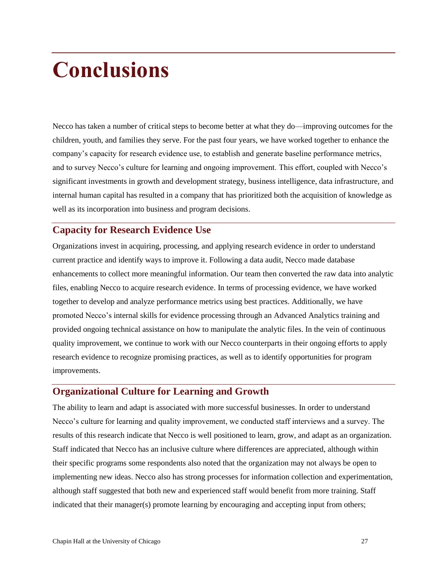# <span id="page-33-0"></span>**Conclusions**

Necco has taken a number of critical steps to become better at what they do—improving outcomes for the children, youth, and families they serve. For the past four years, we have worked together to enhance the company's capacity for research evidence use, to establish and generate baseline performance metrics, and to survey Necco's culture for learning and ongoing improvement. This effort, coupled with Necco's significant investments in growth and development strategy, business intelligence, data infrastructure, and internal human capital has resulted in a company that has prioritized both the acquisition of knowledge as well as its incorporation into business and program decisions.

## <span id="page-33-1"></span>**Capacity for Research Evidence Use**

Organizations invest in acquiring, processing, and applying research evidence in order to understand current practice and identify ways to improve it. Following a data audit, Necco made database enhancements to collect more meaningful information. Our team then converted the raw data into analytic files, enabling Necco to acquire research evidence. In terms of processing evidence, we have worked together to develop and analyze performance metrics using best practices. Additionally, we have promoted Necco's internal skills for evidence processing through an Advanced Analytics training and provided ongoing technical assistance on how to manipulate the analytic files. In the vein of continuous quality improvement, we continue to work with our Necco counterparts in their ongoing efforts to apply research evidence to recognize promising practices, as well as to identify opportunities for program improvements.

# <span id="page-33-2"></span>**Organizational Culture for Learning and Growth**

The ability to learn and adapt is associated with more successful businesses. In order to understand Necco's culture for learning and quality improvement, we conducted staff interviews and a survey. The results of this research indicate that Necco is well positioned to learn, grow, and adapt as an organization. Staff indicated that Necco has an inclusive culture where differences are appreciated, although within their specific programs some respondents also noted that the organization may not always be open to implementing new ideas. Necco also has strong processes for information collection and experimentation, although staff suggested that both new and experienced staff would benefit from more training. Staff indicated that their manager(s) promote learning by encouraging and accepting input from others;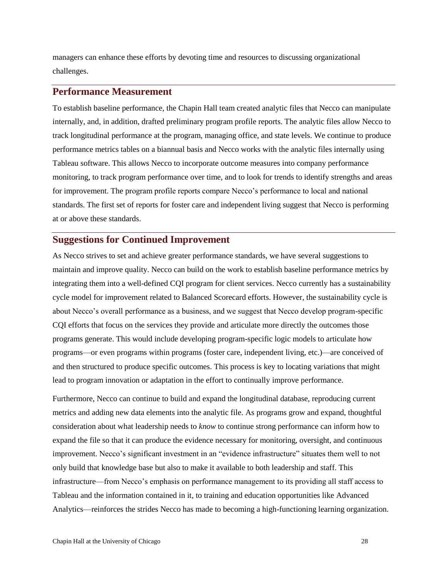managers can enhance these efforts by devoting time and resources to discussing organizational challenges.

## <span id="page-34-0"></span>**Performance Measurement**

To establish baseline performance, the Chapin Hall team created analytic files that Necco can manipulate internally, and, in addition, drafted preliminary program profile reports. The analytic files allow Necco to track longitudinal performance at the program, managing office, and state levels. We continue to produce performance metrics tables on a biannual basis and Necco works with the analytic files internally using Tableau software. This allows Necco to incorporate outcome measures into company performance monitoring, to track program performance over time, and to look for trends to identify strengths and areas for improvement. The program profile reports compare Necco's performance to local and national standards. The first set of reports for foster care and independent living suggest that Necco is performing at or above these standards.

## <span id="page-34-1"></span>**Suggestions for Continued Improvement**

As Necco strives to set and achieve greater performance standards, we have several suggestions to maintain and improve quality. Necco can build on the work to establish baseline performance metrics by integrating them into a well-defined CQI program for client services. Necco currently has a sustainability cycle model for improvement related to Balanced Scorecard efforts. However, the sustainability cycle is about Necco's overall performance as a business, and we suggest that Necco develop program-specific CQI efforts that focus on the services they provide and articulate more directly the outcomes those programs generate. This would include developing program-specific logic models to articulate how programs—or even programs within programs (foster care, independent living, etc.)—are conceived of and then structured to produce specific outcomes. This process is key to locating variations that might lead to program innovation or adaptation in the effort to continually improve performance.

Furthermore, Necco can continue to build and expand the longitudinal database, reproducing current metrics and adding new data elements into the analytic file. As programs grow and expand, thoughtful consideration about what leadership needs to *know* to continue strong performance can inform how to expand the file so that it can produce the evidence necessary for monitoring, oversight, and continuous improvement. Necco's significant investment in an "evidence infrastructure" situates them well to not only build that knowledge base but also to make it available to both leadership and staff. This infrastructure—from Necco's emphasis on performance management to its providing all staff access to Tableau and the information contained in it, to training and education opportunities like Advanced Analytics—reinforces the strides Necco has made to becoming a high-functioning learning organization.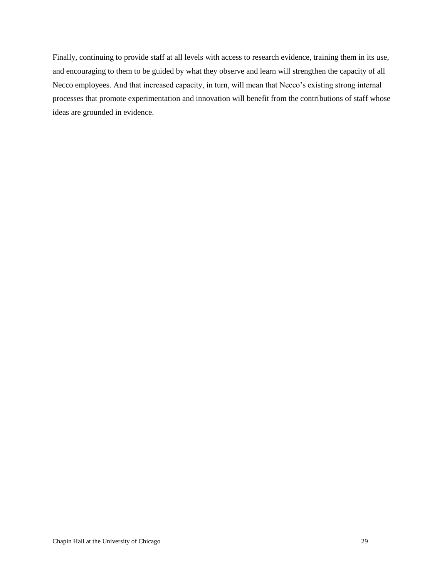Finally, continuing to provide staff at all levels with access to research evidence, training them in its use, and encouraging to them to be guided by what they observe and learn will strengthen the capacity of all Necco employees. And that increased capacity, in turn, will mean that Necco's existing strong internal processes that promote experimentation and innovation will benefit from the contributions of staff whose ideas are grounded in evidence.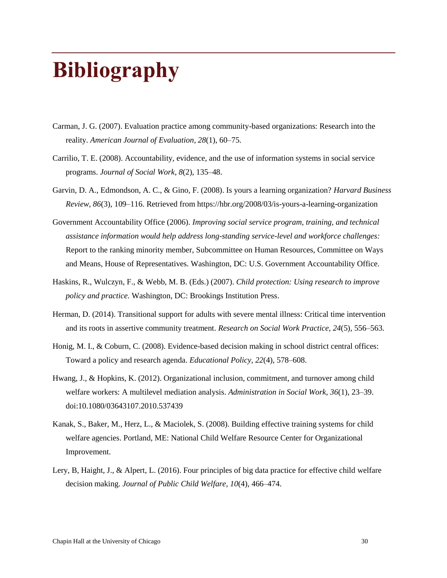# <span id="page-36-0"></span>**Bibliography**

- Carman, J. G. (2007). Evaluation practice among community-based organizations: Research into the reality. *American Journal of Evaluation, 28*(1), 60–75.
- Carrilio, T. E. (2008). Accountability, evidence, and the use of information systems in social service programs. *Journal of Social Work, 8*(2), 135–48.
- Garvin, D. A., Edmondson, A. C., & Gino, F. (2008). Is yours a learning organization? *Harvard Business Review, 86*(3), 109–116. Retrieved from https://hbr.org/2008/03/is-yours-a-learning-organization
- Government Accountability Office (2006). *Improving social service program, training, and technical assistance information would help address long-standing service-level and workforce challenges:*  Report to the ranking minority member, Subcommittee on Human Resources, Committee on Ways and Means, House of Representatives. Washington, DC: U.S. Government Accountability Office.
- Haskins, R., Wulczyn, F., & Webb, M. B. (Eds.) (2007). *Child protection: Using research to improve policy and practice.* Washington, DC: Brookings Institution Press.
- Herman, D. (2014). Transitional support for adults with severe mental illness: Critical time intervention and its roots in assertive community treatment. *Research on Social Work Practice*, *24*(5), 556–563.
- Honig, M. I., & Coburn, C. (2008). Evidence-based decision making in school district central offices: Toward a policy and research agenda. *Educational Policy, 22*(4), 578–608.
- Hwang, J., & Hopkins, K. (2012). Organizational inclusion, commitment, and turnover among child welfare workers: A multilevel mediation analysis. *Administration in Social Work, 36*(1), 23–39. doi:10.1080/03643107.2010.537439
- Kanak, S., Baker, M., Herz, L., & Maciolek, S. (2008). Building effective training systems for child welfare agencies. Portland, ME: National Child Welfare Resource Center for Organizational Improvement.
- Lery, B, Haight, J., & Alpert, L. (2016). Four principles of big data practice for effective child welfare decision making. *Journal of Public Child Welfare, 10*(4), 466–474.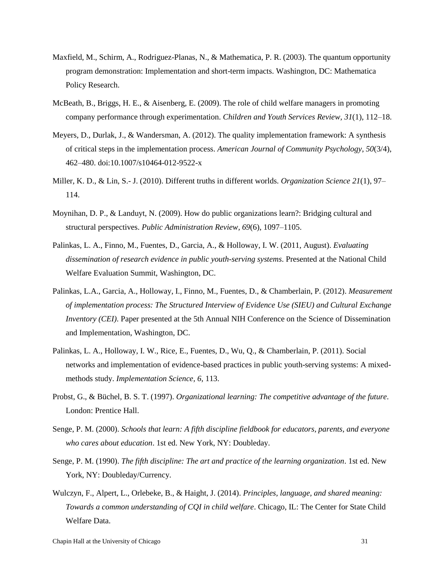- Maxfield, M., Schirm, A., Rodriguez-Planas, N., & Mathematica, P. R. (2003). The quantum opportunity program demonstration: Implementation and short-term impacts. Washington, DC: Mathematica Policy Research.
- McBeath, B., Briggs, H. E., & Aisenberg, E. (2009). The role of child welfare managers in promoting company performance through experimentation. *Children and Youth Services Review, 31*(1), 112–18.
- Meyers, D., Durlak, J., & Wandersman, A. (2012). The quality implementation framework: A synthesis of critical steps in the implementation process. *American Journal of Community Psychology*, *50*(3/4), 462–480. doi:10.1007/s10464-012-9522-x
- Miller, K. D., & Lin, S.- J. (2010). Different truths in different worlds. *Organization Science 21*(1), 97– 114.
- Moynihan, D. P., & Landuyt, N. (2009). How do public organizations learn?: Bridging cultural and structural perspectives. *Public Administration Review, 69*(6), 1097–1105.
- Palinkas, L. A., Finno, M., Fuentes, D., Garcia, A., & Holloway, I. W. (2011, August). *Evaluating dissemination of research evidence in public youth-serving systems*. Presented at the National Child Welfare Evaluation Summit, Washington, DC.
- Palinkas, L.A., Garcia, A., Holloway, I., Finno, M., Fuentes, D., & Chamberlain, P. (2012). *Measurement of implementation process: The Structured Interview of Evidence Use (SIEU) and Cultural Exchange Inventory (CEI)*. Paper presented at the 5th Annual NIH Conference on the Science of Dissemination and Implementation, Washington, DC.
- Palinkas, L. A., Holloway, I. W., Rice, E., Fuentes, D., Wu, Q., & Chamberlain, P. (2011). Social networks and implementation of evidence-based practices in public youth-serving systems: A mixedmethods study. *Implementation Science, 6*, 113.
- Probst, G., & Büchel, B. S. T. (1997). *Organizational learning: The competitive advantage of the future.* London: Prentice Hall.
- Senge, P. M. (2000). *Schools that learn: A fifth discipline fieldbook for educators, parents, and everyone who cares about education*. 1st ed. New York, NY: Doubleday.
- Senge, P. M. (1990). *The fifth discipline: The art and practice of the learning organization*. 1st ed. New York, NY: Doubleday/Currency.
- Wulczyn, F., Alpert, L., Orlebeke, B., & Haight, J. (2014). *Principles, language, and shared meaning: Towards a common understanding of CQI in child welfare*. Chicago, IL: The Center for State Child Welfare Data.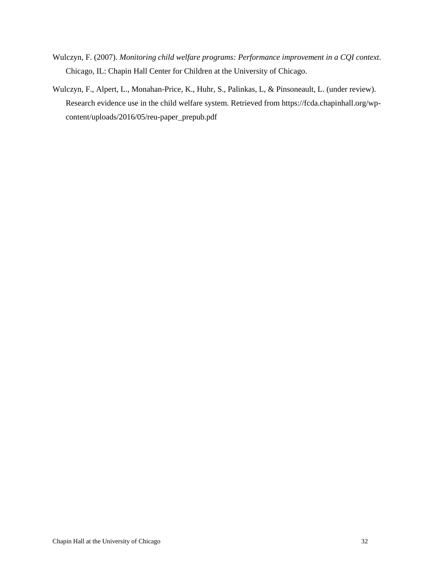- Wulczyn, F. (2007). *Monitoring child welfare programs: Performance improvement in a CQI context.* Chicago, IL: Chapin Hall Center for Children at the University of Chicago.
- Wulczyn, F., Alpert, L., Monahan-Price, K., Huhr, S., Palinkas, L, & Pinsoneault, L. (under review). Research evidence use in the child welfare system. Retrieved from https://fcda.chapinhall.org/wpcontent/uploads/2016/05/reu-paper\_prepub.pdf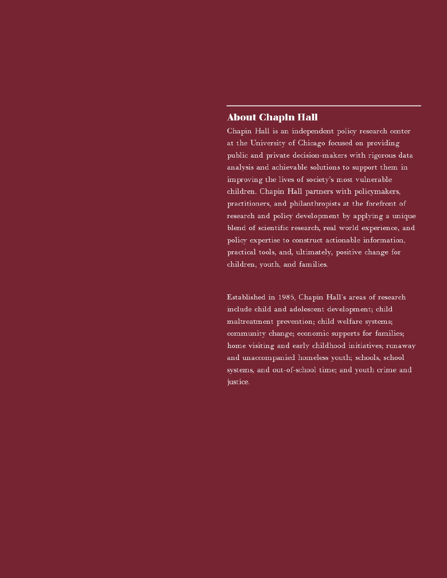## **About Chapin Hall**

Chapin Hall is an independent policy research center at the University of Chicago focused on providing public and private decision-makers with rigorous data analysis and achievable solutions to support them in improving the lives of society's most vulnerable children. Chapin Hall partners with policymakers, practitioners, and philanthropists at the forefront of research and policy development by applying a unique blend of scientific research, real world experience, and policy expertise to construct actionable information, practical tools, and, ultimately, positive change for children, youth, and families.

Established in 1985, Chapin Hall's areas of research include child and adolescent development; child maltreatment prevention; child welfare systems; community change; economic supports for families; home visiting and early childhood initiatives; runaway and unaccompanied homeless youth; schools, school systems, and out-of-school time; and youth crime and justice.